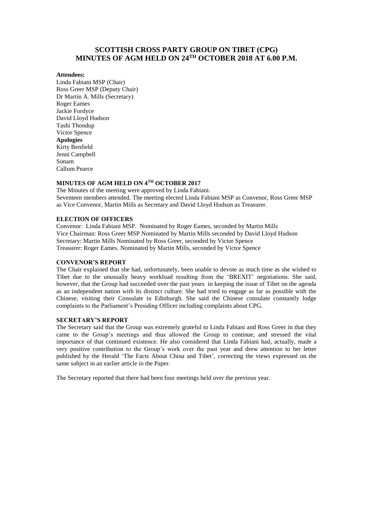# **SCOTTISH CROSS PARTY GROUP ON TIBET (CPG) MINUTES OF AGM HELD ON 24TH OCTOBER 2018 AT 6.00 P.M.**

#### **Attendees:**

Linda Fabiani MSP (Chair) Ross Greer MSP (Deputy Chair) Dr Martin A. Mills (Secretary) Roger Eames Jackie Fordyce David Lloyd Hudson Tashi Thondup Victor Spence **Apologies**  Kirty Benfield Jenni Campbell Sonam Callum Pearce

# **MINUTES OF AGM HELD ON 4TH OCTOBER 2017**

The Minutes of the meeting were approved by Linda Fabiani. Seventeen members attended. The meeting elected Linda Fabiani MSP as Convenor, Ross Greer MSP as Vice Convenor, Martin Mills as Secretary and David Lloyd Hudson as Treasurer.

#### **ELECTION OF OFFICERS**

Convenor: Linda Fabiani MSP. Nominated by Roger Eames, seconded by Martin Mills Vice Chairman: Ross Greer MSP Nominated by Martin Mills seconded by David Lloyd Hudson Secretary: Martin Mills Nominated by Ross Greer, seconded by Victor Spence Treasurer: Roger Eames. Nominated by Martin Mills, seconded by Victor Spence

#### **CONVENOR'S REPORT**

The Chair explained that she had, unfortunately, been unable to devote as much time as she wished to Tibet due to the unusually heavy workload resulting from the 'BREXIT' negotiations. She said, however, that the Group had succeeded over the past years in keeping the issue of Tibet on the agenda as an independent nation with its distinct culture. She had tried to engage as far as possible with the Chinese, visiting their Consulate in Edinburgh. She said the Chinese consulate constantly lodge complaints to the Parliament's Presiding Officer including complaints about CPG.

#### **SECRETARY'S REPORT**

The Secretary said that the Group was extremely grateful to Linda Fabiani and Ross Greer in that they came to the Group's meetings and thus allowed the Group to continue, and stressed the vital importance of that continued existence. He also considered that Linda Fabiani had, actually, made a very positive contribution to the Group's work over the past year and drew attention to her letter published by the Herald 'The Facts About China and Tibet', correcting the views expressed on the same subject in an earlier article in the Paper.

The Secretary reported that there had been four meetings held over the previous year.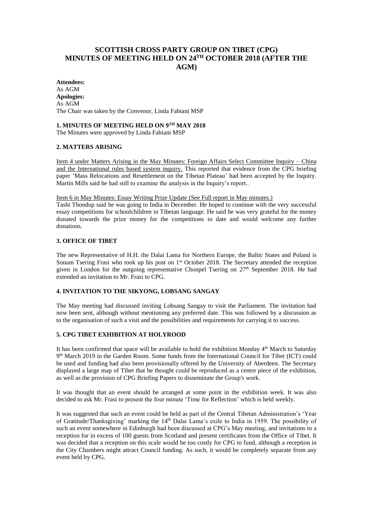# **SCOTTISH CROSS PARTY GROUP ON TIBET (CPG) MINUTES OF MEETING HELD ON 24 TH OCTOBER 2018 (AFTER THE AGM)**

**Attendees:**  As AGM **Apologies:**  As AGM The Chair was taken by the Convenor, Linda Fabiani MSP

#### **1. MINUTES OF MEETING HELD ON 9TH MAY 2018**

The Minutes were approved by Linda Fabiani MSP

## **2. MATTERS ARISING**

Item 4 under Matters Arising in the May Minutes: Foreign Affairs Select Committee Inquiry – China and the International rules based system inquiry. This reported that evidence from the CPG briefing paper 'Mass Relocations and Resettlement on the Tibetan Plateau' had been accepted by the Inquiry. Martin Mills said he had still to examine the analysis in the Inquiry's report..

#### Item 6 in May Minutes: Essay Writing Prize Update (See Full report in May minutes.)

Tashi Thondup said he was going to India in December. He hoped to continue with the very successful essay competitions for schoolchildren in Tibetan language. He said he was very grateful for the money donated towards the prize money for the competitions to date and would welcome any further donations.

#### **3. OFFICE OF TIBET**

The new Representative of H.H. the Dalai Lama for Northern Europe, the Baltic States and Poland is Sonam Tsering Frasi who took up his post on 1<sup>st</sup> October 2018. The Secretary attended the reception given in London for the outgoing representative Chonpel Tsering on 27th September 2018. He had extended an invitation to Mr. Frasi to CPG.

## **4. INVITATION TO THE SIKYONG, LOBSANG SANGAY**

The May meeting had discussed inviting Lobsang Sangay to visit the Parliament. The invitation had now been sent, although without mentioning any preferred date. This was followed by a discussion as to the organisation of such a visit and the possibilities and requirements for carrying it to success.

## **5. CPG TIBET EXHIBITION AT HOLYROOD**

It has been confirmed that space will be available to hold the exhibition Monday 4<sup>th</sup> March to Saturday 9<sup>th</sup> March 2019 in the Garden Room. Some funds from the International Council for Tibet (ICT) could be used and funding had also been provisionally offered by the University of Aberdeen. The Secretary displayed a large map of Tibet that he thought could be reproduced as a centre piece of the exhibition, as well as the provision of CPG Briefing Papers to disseminate the Group's work.

It was thought that an event should be arranged at some point in the exhibition week. It was also decided to ask Mr. Frasi to present the four minute 'Time for Reflection' which is held weekly.

It was suggested that such an event could be held as part of the Central Tibetan Administration's 'Year of Gratitude/Thanksgiving' marking the 14th Dalai Lama's exile to India in 1959. The possibility of such an event somewhere in Edinburgh had been discussed at CPG's May meeting, and invitations to a reception for in excess of 100 guests from Scotland and present certificates from the Office of Tibet. It was decided that a reception on this scale would be too costly for CPG to fund, although a reception in the City Chambers might attract Council funding. As such, it would be completely separate from any event held by CPG.